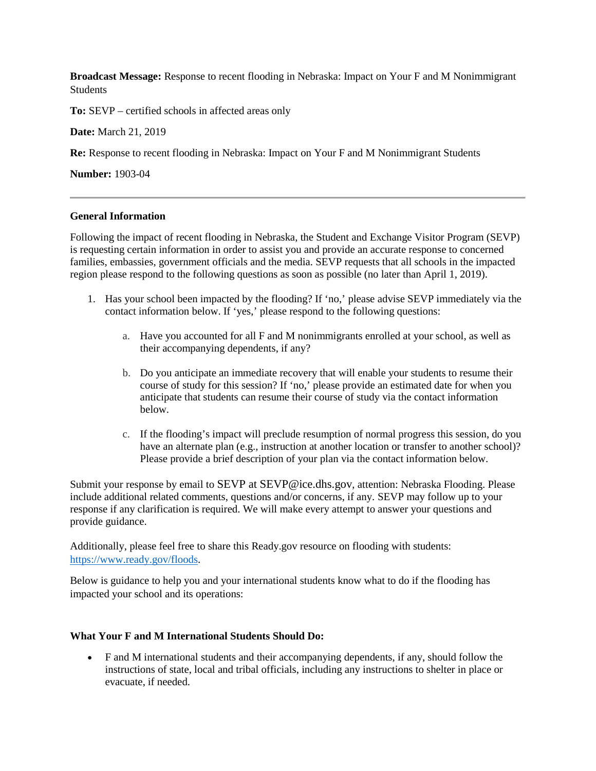**Broadcast Message:** Response to recent flooding in Nebraska: Impact on Your F and M Nonimmigrant Students

**To:** SEVP – certified schools in affected areas only

**Date:** March 21, 2019

**Re:** Response to recent flooding in Nebraska: Impact on Your F and M Nonimmigrant Students

**Number:** 1903-04

### **General Information**

Following the impact of recent flooding in Nebraska, the Student and Exchange Visitor Program (SEVP) is requesting certain information in order to assist you and provide an accurate response to concerned families, embassies, government officials and the media. SEVP requests that all schools in the impacted region please respond to the following questions as soon as possible (no later than April 1, 2019).

- 1. Has your school been impacted by the flooding? If 'no,' please advise SEVP immediately via the contact information below. If 'yes,' please respond to the following questions:
	- a. Have you accounted for all F and M nonimmigrants enrolled at your school, as well as their accompanying dependents, if any?
	- b. Do you anticipate an immediate recovery that will enable your students to resume their course of study for this session? If 'no,' please provide an estimated date for when you anticipate that students can resume their course of study via the contact information below.
	- c. If the flooding's impact will preclude resumption of normal progress this session, do you have an alternate plan (e.g., instruction at another location or transfer to another school)? Please provide a brief description of your plan via the contact information below.

Submit your response by email to SEVP at SEVP@ice.dhs.gov, attention: Nebraska Flooding. Please include additional related comments, questions and/or concerns, if any. SEVP may follow up to your response if any clarification is required. We will make every attempt to answer your questions and provide guidance.

Additionally, please feel free to share this Ready.gov resource on flooding with students: [https://www.ready.gov/floods.](https://www.ready.gov/floods)

Below is guidance to help you and your international students know what to do if the flooding has impacted your school and its operations:

### **What Your F and M International Students Should Do:**

• F and M international students and their accompanying dependents, if any, should follow the instructions of state, local and tribal officials, including any instructions to shelter in place or evacuate, if needed.